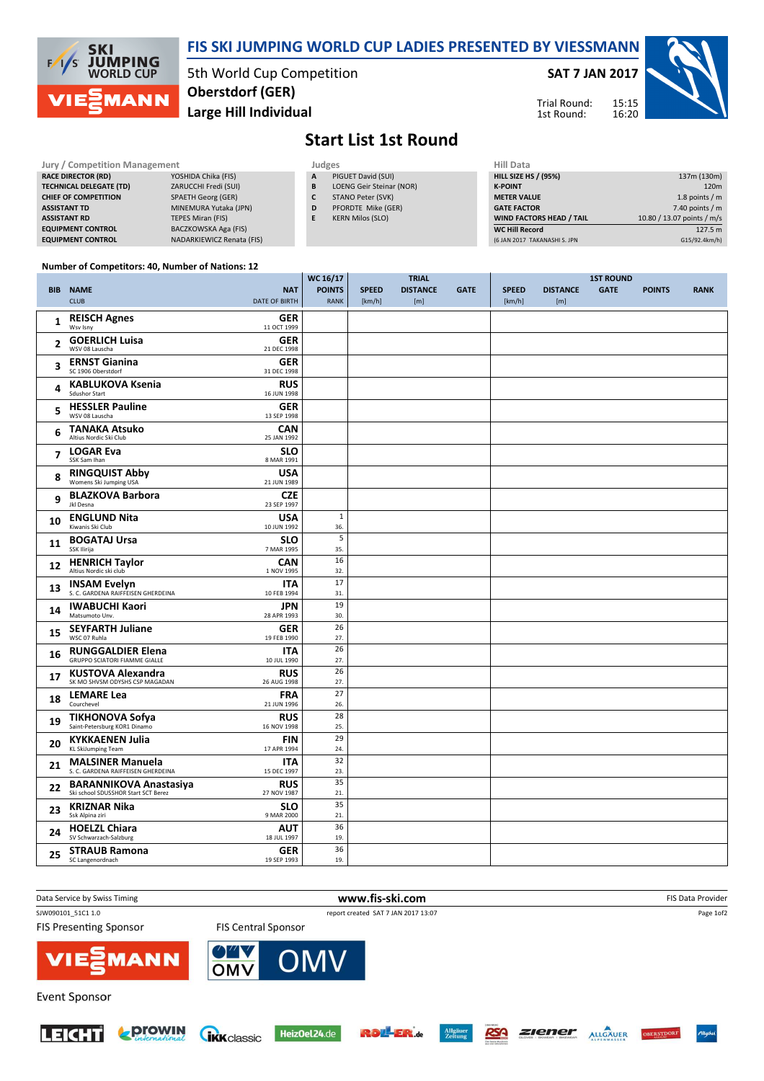

### FIS SKI JUMPING WORLD CUP LADIES PRESENTED BY VIESSMANN

5th World Cup Competition Large Hill Individual Oberstdorf (GER)

#### SAT 7 JAN 2017





# Start List 1st Round

| <b>Jury / Competition Management</b> |                           |  | Judges | <b>Hill Data</b>         |                    |
|--------------------------------------|---------------------------|--|--------|--------------------------|--------------------|
| <b>RACE DIRECTOR (RD)</b>            | YOSHIDA Chika (FIS)       |  | A      | PIGUET David (SUI)       | <b>HILL SIZE H</b> |
| <b>TECHNICAL DELEGATE (TD)</b>       | ZARUCCHI Fredi (SUI)      |  | B      | LOENG Geir Steinar (NOR) | <b>K-POINT</b>     |
| <b>CHIEF OF COMPETITION</b>          | <b>SPAETH Georg (GER)</b> |  |        | STANO Peter (SVK)        | <b>METER VAI</b>   |
| <b>ASSISTANT TD</b>                  | MINEMURA Yutaka (JPN)     |  | D      | PFORDTE Mike (GER)       | <b>GATE FACT</b>   |
| <b>ASSISTANT RD</b>                  | TEPES Miran (FIS)         |  | Е      | <b>KERN Milos (SLO)</b>  | <b>WIND FACT</b>   |
| <b>EQUIPMENT CONTROL</b>             | BACZKOWSKA Aga (FIS)      |  |        |                          | <b>WC Hill Red</b> |
| <b>EQUIPMENT CONTROL</b>             | NADARKIEWICZ Renata (FIS) |  |        |                          | (6 JAN 2017)       |

| пш иата                         |                            |
|---------------------------------|----------------------------|
| <b>HILL SIZE HS / (95%)</b>     | 137m (130m)                |
| <b>K-POINT</b>                  | 120 <sub>m</sub>           |
| <b>METER VALUE</b>              | 1.8 points $/m$            |
| <b>GATE FACTOR</b>              | 7.40 points $/m$           |
| <b>WIND FACTORS HEAD / TAIL</b> | 10.80 / 13.07 points / m/s |
| <b>WC Hill Record</b>           | 127.5 m                    |
| (6 JAN 2017 TAKANASHI S. JPN    | G15/92.4km/h)              |

#### Number of Competitors: 40, Number of Nations: 12

|                |                                                                      |                           | WC 16/17      |              | <b>TRIAL</b>    |             |              | <b>1ST ROUND</b> |             |               |             |
|----------------|----------------------------------------------------------------------|---------------------------|---------------|--------------|-----------------|-------------|--------------|------------------|-------------|---------------|-------------|
|                | <b>BIB NAME</b>                                                      | <b>NAT</b>                | <b>POINTS</b> | <b>SPEED</b> | <b>DISTANCE</b> | <b>GATE</b> | <b>SPEED</b> | <b>DISTANCE</b>  | <b>GATE</b> | <b>POINTS</b> | <b>RANK</b> |
|                | <b>CLUB</b>                                                          | <b>DATE OF BIRTH</b>      | <b>RANK</b>   | [km/h]       | [m]             |             | [km/h]       | [m]              |             |               |             |
|                | <b>REISCH Agnes</b>                                                  | <b>GER</b>                |               |              |                 |             |              |                  |             |               |             |
| 1              | Wsv Isny                                                             | 11 OCT 1999               |               |              |                 |             |              |                  |             |               |             |
|                | <b>GOERLICH Luisa</b>                                                | <b>GER</b>                |               |              |                 |             |              |                  |             |               |             |
| 2              | WSV 08 Lauscha                                                       | 21 DEC 1998               |               |              |                 |             |              |                  |             |               |             |
|                | <b>ERNST Gianina</b>                                                 | <b>GER</b>                |               |              |                 |             |              |                  |             |               |             |
| 3              | SC 1906 Oberstdorf                                                   | 31 DEC 1998               |               |              |                 |             |              |                  |             |               |             |
| 4              | <b>KABLUKOVA Ksenia</b>                                              | <b>RUS</b>                |               |              |                 |             |              |                  |             |               |             |
|                | <b>Sdushor Start</b>                                                 | 16 JUN 1998               |               |              |                 |             |              |                  |             |               |             |
| 5              | <b>HESSLER Pauline</b>                                               | <b>GER</b>                |               |              |                 |             |              |                  |             |               |             |
|                | WSV 08 Lauscha                                                       | 13 SEP 1998               |               |              |                 |             |              |                  |             |               |             |
| 6              | <b>TANAKA Atsuko</b>                                                 | <b>CAN</b>                |               |              |                 |             |              |                  |             |               |             |
|                | Altius Nordic Ski Club                                               | 25 JAN 1992               |               |              |                 |             |              |                  |             |               |             |
| $\overline{7}$ | <b>LOGAR Eva</b><br>SSK Sam Ihan                                     | <b>SLO</b><br>8 MAR 1991  |               |              |                 |             |              |                  |             |               |             |
|                |                                                                      |                           |               |              |                 |             |              |                  |             |               |             |
| 8              | <b>RINGQUIST Abby</b><br>Womens Ski Jumping USA                      | <b>USA</b><br>21 JUN 1989 |               |              |                 |             |              |                  |             |               |             |
|                | <b>BLAZKOVA Barbora</b>                                              | <b>CZE</b>                |               |              |                 |             |              |                  |             |               |             |
| 9              | Jkl Desna                                                            | 23 SEP 1997               |               |              |                 |             |              |                  |             |               |             |
|                | <b>ENGLUND Nita</b>                                                  | <b>USA</b>                | $\mathbf 1$   |              |                 |             |              |                  |             |               |             |
| 10             | Kiwanis Ski Club                                                     | 10 JUN 1992               | 36.           |              |                 |             |              |                  |             |               |             |
|                | <b>BOGATAJ Ursa</b>                                                  | <b>SLO</b>                | 5             |              |                 |             |              |                  |             |               |             |
| 11             | SSK Ilirija                                                          | 7 MAR 1995                | 35.           |              |                 |             |              |                  |             |               |             |
| 12             | <b>HENRICH Taylor</b>                                                | <b>CAN</b>                | 16            |              |                 |             |              |                  |             |               |             |
|                | Altius Nordic ski club                                               | 1 NOV 1995                | 32.           |              |                 |             |              |                  |             |               |             |
| 13             | <b>INSAM Evelyn</b>                                                  | <b>ITA</b>                | 17            |              |                 |             |              |                  |             |               |             |
|                | S. C. GARDENA RAIFFEISEN GHERDEINA                                   | 10 FEB 1994               | 31.           |              |                 |             |              |                  |             |               |             |
| 14             | <b>IWABUCHI Kaori</b><br>Matsumoto Unv.                              | <b>JPN</b><br>28 APR 1993 | 19            |              |                 |             |              |                  |             |               |             |
|                |                                                                      |                           | 30.<br>26     |              |                 |             |              |                  |             |               |             |
| 15             | <b>SEYFARTH Juliane</b><br>WSC 07 Ruhla                              | <b>GER</b><br>19 FEB 1990 | 27.           |              |                 |             |              |                  |             |               |             |
|                | <b>RUNGGALDIER Elena</b>                                             | <b>ITA</b>                | 26            |              |                 |             |              |                  |             |               |             |
| 16             | <b>GRUPPO SCIATORI FIAMME GIALLE</b>                                 | 10 JUL 1990               | 27.           |              |                 |             |              |                  |             |               |             |
|                | <b>KUSTOVA Alexandra</b>                                             | <b>RUS</b>                | 26            |              |                 |             |              |                  |             |               |             |
| 17             | SK MO SHVSM ODYSHS CSP MAGADAN                                       | 26 AUG 1998               | 27.           |              |                 |             |              |                  |             |               |             |
| 18             | <b>LEMARE Lea</b>                                                    | <b>FRA</b>                | 27            |              |                 |             |              |                  |             |               |             |
|                | Courchevel                                                           | 21 JUN 1996               | 26.           |              |                 |             |              |                  |             |               |             |
| 19             | <b>TIKHONOVA Sofya</b>                                               | <b>RUS</b>                | 28            |              |                 |             |              |                  |             |               |             |
|                | Saint-Petersburg KOR1 Dinamo                                         | 16 NOV 1998               | 25.           |              |                 |             |              |                  |             |               |             |
| 20             | <b>KYKKAENEN Julia</b>                                               | <b>FIN</b>                | 29            |              |                 |             |              |                  |             |               |             |
|                | <b>KL SkiJumping Team</b>                                            | 17 APR 1994               | 24.           |              |                 |             |              |                  |             |               |             |
| 21             | <b>MALSINER Manuela</b><br>S. C. GARDENA RAIFFEISEN GHERDEINA        | <b>ITA</b>                | 32            |              |                 |             |              |                  |             |               |             |
|                |                                                                      | 15 DEC 1997               | 23.<br>35     |              |                 |             |              |                  |             |               |             |
| 22             | <b>BARANNIKOVA Anastasiya</b><br>Ski school SDUSSHOR Start SCT Berez | <b>RUS</b><br>27 NOV 1987 | 21.           |              |                 |             |              |                  |             |               |             |
|                | <b>KRIZNAR Nika</b>                                                  | <b>SLO</b>                | 35            |              |                 |             |              |                  |             |               |             |
| 23             | Ssk Alpina ziri                                                      | 9 MAR 2000                | 21.           |              |                 |             |              |                  |             |               |             |
|                | <b>HOELZL Chiara</b>                                                 | <b>AUT</b>                | 36            |              |                 |             |              |                  |             |               |             |
| 24             | SV Schwarzach-Salzburg                                               | 18 JUL 1997               | 19.           |              |                 |             |              |                  |             |               |             |
| 25             | <b>STRAUB Ramona</b>                                                 | <b>GER</b>                | 36            |              |                 |             |              |                  |             |               |             |
|                | SC Langenordnach                                                     | 19 SEP 1993               | 19.           |              |                 |             |              |                  |             |               |             |